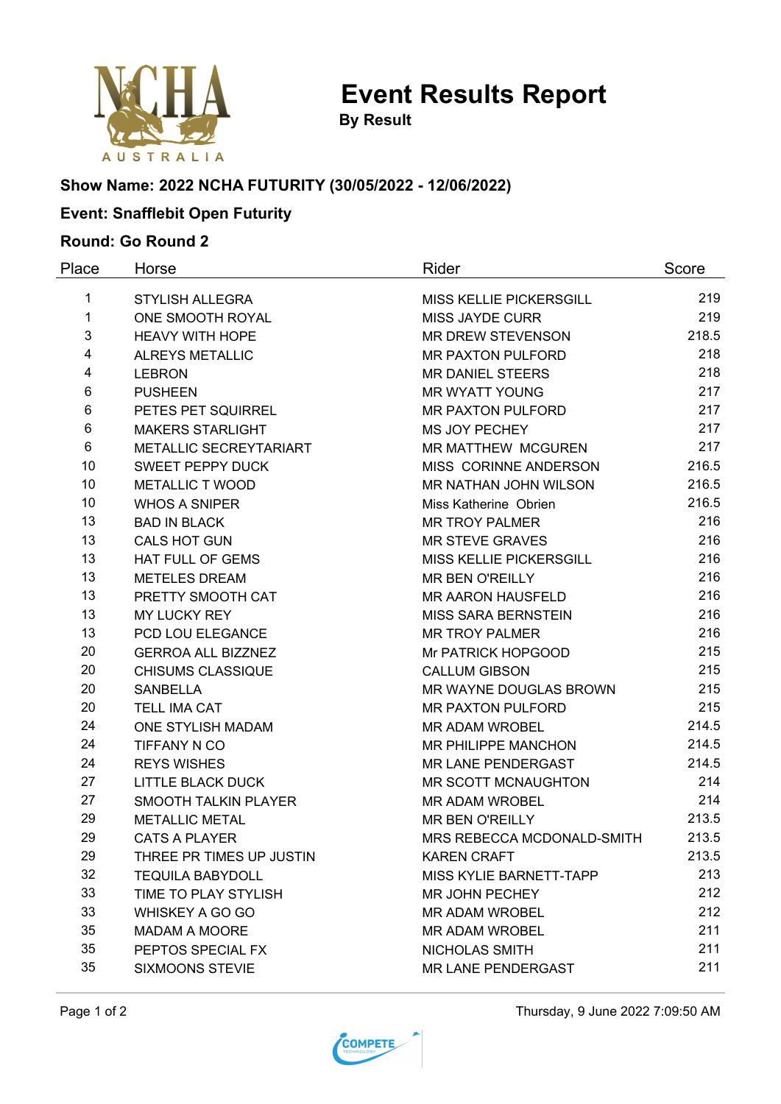

**Event Results Report**

**By Result**

# **Show Name: 2022 NCHA FUTURITY (30/05/2022 - 12/06/2022)**

# **Event: Snafflebit Open Futurity**

### **Round: Go Round 2**

| Place | Horse                         | Rider                          | Score |
|-------|-------------------------------|--------------------------------|-------|
| 1     | <b>STYLISH ALLEGRA</b>        | MISS KELLIE PICKERSGILL        | 219   |
| 1     | ONE SMOOTH ROYAL              | <b>MISS JAYDE CURR</b>         | 219   |
| 3     | <b>HEAVY WITH HOPE</b>        | <b>MR DREW STEVENSON</b>       | 218.5 |
| 4     | <b>ALREYS METALLIC</b>        | <b>MR PAXTON PULFORD</b>       | 218   |
| 4     | <b>LEBRON</b>                 | <b>MR DANIEL STEERS</b>        | 218   |
| 6     | <b>PUSHEEN</b>                | <b>MR WYATT YOUNG</b>          | 217   |
| 6     | PETES PET SQUIRREL            | <b>MR PAXTON PULFORD</b>       | 217   |
| 6     | <b>MAKERS STARLIGHT</b>       | MS JOY PECHEY                  | 217   |
| 6     | <b>METALLIC SECREYTARIART</b> | MR MATTHEW MCGUREN             | 217   |
| 10    | <b>SWEET PEPPY DUCK</b>       | MISS CORINNE ANDERSON          | 216.5 |
| 10    | <b>METALLIC T WOOD</b>        | MR NATHAN JOHN WILSON          | 216.5 |
| 10    | <b>WHOS A SNIPER</b>          | Miss Katherine Obrien          | 216.5 |
| 13    | <b>BAD IN BLACK</b>           | <b>MR TROY PALMER</b>          | 216   |
| 13    | <b>CALS HOT GUN</b>           | <b>MR STEVE GRAVES</b>         | 216   |
| 13    | HAT FULL OF GEMS              | MISS KELLIE PICKERSGILL        | 216   |
| 13    | <b>METELES DREAM</b>          | MR BEN O'REILLY                | 216   |
| 13    | PRETTY SMOOTH CAT             | <b>MR AARON HAUSFELD</b>       | 216   |
| 13    | <b>MY LUCKY REY</b>           | <b>MISS SARA BERNSTEIN</b>     | 216   |
| 13    | PCD LOU ELEGANCE              | <b>MR TROY PALMER</b>          | 216   |
| 20    | <b>GERROA ALL BIZZNEZ</b>     | Mr PATRICK HOPGOOD             | 215   |
| 20    | <b>CHISUMS CLASSIQUE</b>      | <b>CALLUM GIBSON</b>           | 215   |
| 20    | <b>SANBELLA</b>               | MR WAYNE DOUGLAS BROWN         | 215   |
| 20    | <b>TELL IMA CAT</b>           | <b>MR PAXTON PULFORD</b>       | 215   |
| 24    | ONE STYLISH MADAM             | <b>MR ADAM WROBEL</b>          | 214.5 |
| 24    | TIFFANY N CO                  | MR PHILIPPE MANCHON            | 214.5 |
| 24    | <b>REYS WISHES</b>            | MR LANE PENDERGAST             | 214.5 |
| 27    | <b>LITTLE BLACK DUCK</b>      | MR SCOTT MCNAUGHTON            | 214   |
| 27    | <b>SMOOTH TALKIN PLAYER</b>   | <b>MR ADAM WROBEL</b>          | 214   |
| 29    | <b>METALLIC METAL</b>         | <b>MR BEN O'REILLY</b>         | 213.5 |
| 29    | <b>CATS A PLAYER</b>          | MRS REBECCA MCDONALD-SMITH     | 213.5 |
| 29    | THREE PR TIMES UP JUSTIN      | <b>KAREN CRAFT</b>             | 213.5 |
| 32    | <b>TEQUILA BABYDOLL</b>       | <b>MISS KYLIE BARNETT-TAPP</b> | 213   |
| 33    | TIME TO PLAY STYLISH          | MR JOHN PECHEY                 | 212   |
| 33    | WHISKEY A GO GO               | MR ADAM WROBEL                 | 212   |
| 35    | <b>MADAM A MOORE</b>          | <b>MR ADAM WROBEL</b>          | 211   |
| 35    | PEPTOS SPECIAL FX             | NICHOLAS SMITH                 | 211   |
| 35    | <b>SIXMOONS STEVIE</b>        | MR LANE PENDERGAST             | 211   |